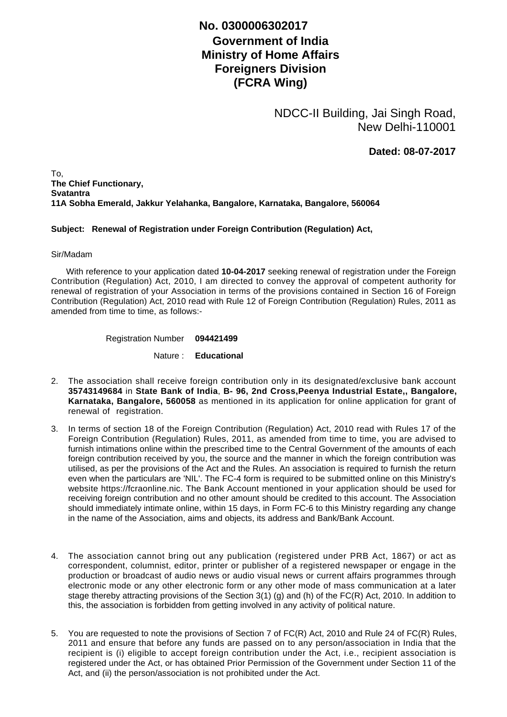## **No. 0300006302017**

## **Government of India Ministry of Home Affairs Foreigners Division (FCRA Wing)**

NDCC-II Building, Jai Singh Road, New Delhi-110001

**Dated: 08-07-2017**

To, **The Chief Functionary, Svatantra 11A Sobha Emerald, Jakkur Yelahanka, Bangalore, Karnataka, Bangalore, 560064**

## **Subject: Renewal of Registration under Foreign Contribution (Regulation) Act,**

## Sir/Madam

 With reference to your application dated **10-04-2017** seeking renewal of registration under the Foreign Contribution (Regulation) Act, 2010, I am directed to convey the approval of competent authority for renewal of registration of your Association in terms of the provisions contained in Section 16 of Foreign Contribution (Regulation) Act, 2010 read with Rule 12 of Foreign Contribution (Regulation) Rules, 2011 as amended from time to time, as follows:-

Registration Number **094421499**

Nature : **Educational**

- The association shall receive foreign contribution only in its designated/exclusive bank account 2. **35743149684** in **State Bank of India**, **B- 96, 2nd Cross,Peenya Industrial Estate,, Bangalore, Karnataka, Bangalore, 560058** as mentioned in its application for online application for grant of renewal of registration.
- 3. In terms of section 18 of the Foreign Contribution (Regulation) Act, 2010 read with Rules 17 of the Foreign Contribution (Regulation) Rules, 2011, as amended from time to time, you are advised to furnish intimations online within the prescribed time to the Central Government of the amounts of each foreign contribution received by you, the source and the manner in which the foreign contribution was utilised, as per the provisions of the Act and the Rules. An association is required to furnish the return even when the particulars are 'NIL'. The FC-4 form is required to be submitted online on this Ministry's website https://fcraonline.nic. The Bank Account mentioned in your application should be used for receiving foreign contribution and no other amount should be credited to this account. The Association should immediately intimate online, within 15 days, in Form FC-6 to this Ministry regarding any change in the name of the Association, aims and objects, its address and Bank/Bank Account.
- 4. The association cannot bring out any publication (registered under PRB Act, 1867) or act as correspondent, columnist, editor, printer or publisher of a registered newspaper or engage in the production or broadcast of audio news or audio visual news or current affairs programmes through electronic mode or any other electronic form or any other mode of mass communication at a later stage thereby attracting provisions of the Section 3(1) (g) and (h) of the FC(R) Act, 2010. In addition to this, the association is forbidden from getting involved in any activity of political nature.
- 5. You are requested to note the provisions of Section 7 of FC(R) Act, 2010 and Rule 24 of FC(R) Rules, 2011 and ensure that before any funds are passed on to any person/association in India that the recipient is (i) eligible to accept foreign contribution under the Act, i.e., recipient association is registered under the Act, or has obtained Prior Permission of the Government under Section 11 of the Act, and (ii) the person/association is not prohibited under the Act.